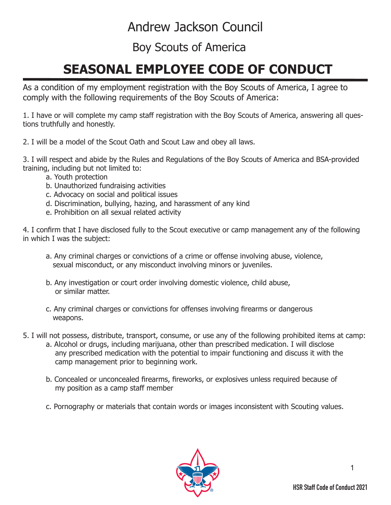## Andrew Jackson Council

## Boy Scouts of America

## **SEASONAL EMPLOYEE CODE OF CONDUCT**

As a condition of my employment registration with the Boy Scouts of America, I agree to comply with the following requirements of the Boy Scouts of America:

1. I have or will complete my camp staff registration with the Boy Scouts of America, answering all questions truthfully and honestly.

2. I will be a model of the Scout Oath and Scout Law and obey all laws.

3. I will respect and abide by the Rules and Regulations of the Boy Scouts of America and BSA-provided training, including but not limited to:

- a. Youth protection
- b. Unauthorized fundraising activities
- c. Advocacy on social and political issues
- d. Discrimination, bullying, hazing, and harassment of any kind
- e. Prohibition on all sexual related activity

4. I confirm that I have disclosed fully to the Scout executive or camp management any of the following in which I was the subject:

- a. Any criminal charges or convictions of a crime or offense involving abuse, violence, sexual misconduct, or any misconduct involving minors or juveniles.
- b. Any investigation or court order involving domestic violence, child abuse, or similar matter.
- c. Any criminal charges or convictions for offenses involving firearms or dangerous weapons.
- 5. I will not possess, distribute, transport, consume, or use any of the following prohibited items at camp:
	- a. Alcohol or drugs, including marijuana, other than prescribed medication. I will disclose any prescribed medication with the potential to impair functioning and discuss it with the camp management prior to beginning work.
		- b. Concealed or unconcealed firearms, fireworks, or explosives unless required because of my position as a camp staff member
		- c. Pornography or materials that contain words or images inconsistent with Scouting values.